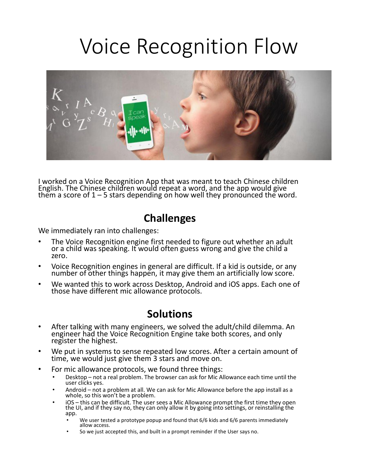## Voice Recognition Flow



I worked on a Voice Recognition App that was meant to teach Chinese children English. The Chinese children would repeat a word, and the app would give them a score of  $1 - 5$  stars depending on how well they pronounced the word.

## **Challenges**

We immediately ran into challenges:

- The Voice Recognition engine first needed to figure out whether an adult or a child was speaking. It would often guess wrong and give the child a zero.
- Voice Recognition engines in general are difficult. If a kid is outside, or any number of other things happen, it may give them an artificially low score.
- We wanted this to work across Desktop, Android and iOS apps. Each one of those have different mic allowance protocols.

## **Solutions**

- After talking with many engineers, we solved the adult/child dilemma. An engineer had the Voice Recognition Engine take both scores, and only register the highest.
- We put in systems to sense repeated low scores. After a certain amount of time, we would just give them 3 stars and move on.
- For mic allowance protocols, we found three things:
	- Desktop not a real problem. The browser can ask for Mic Allowance each time until the user clicks yes.
	- Android not a problem at all. We can ask for Mic Allowance before the app install as a whole, so this won't be a problem.
	- iOS this can be difficult. The user sees a Mic Allowance prompt the first time they open<br>the UI, and if they say no, they can only allow it by going into settings, or reinstalling the app.
		- We user tested a prototype popup and found that 6/6 kids and 6/6 parents immediately allow access.
		- So we just accepted this, and built in a prompt reminder if the User says no.